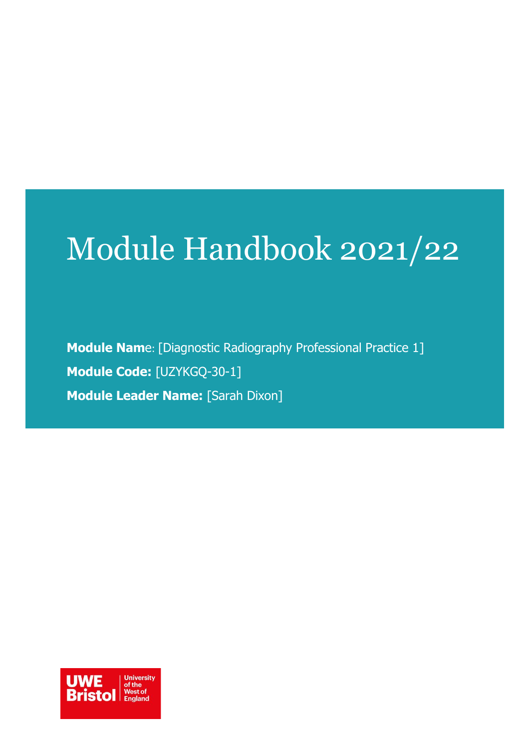# Module Handbook 2021/22

**Module Nam**e: [Diagnostic Radiography Professional Practice 1] **Module Code:** [UZYKGQ-30-1] **Module Leader Name:** [Sarah Dixon]

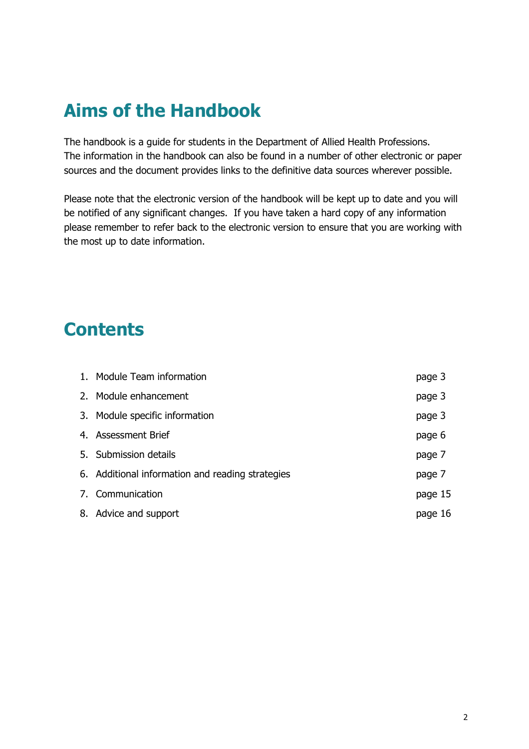# **Aims of the Handbook**

The handbook is a guide for students in the Department of Allied Health Professions. The information in the handbook can also be found in a number of other electronic or paper sources and the document provides links to the definitive data sources wherever possible.

Please note that the electronic version of the handbook will be kept up to date and you will be notified of any significant changes. If you have taken a hard copy of any information please remember to refer back to the electronic version to ensure that you are working with the most up to date information.

# **Contents**

| 1. Module Team information                       | page 3  |
|--------------------------------------------------|---------|
| 2. Module enhancement                            | page 3  |
| 3. Module specific information                   | page 3  |
| 4. Assessment Brief                              | page 6  |
| 5. Submission details                            | page 7  |
| 6. Additional information and reading strategies | page 7  |
| 7. Communication                                 | page 15 |
| 8. Advice and support                            | page 16 |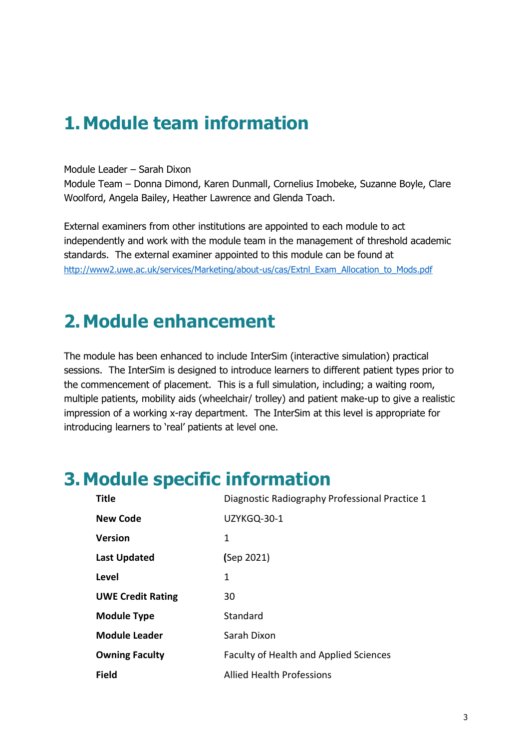# **1.Module team information**

#### Module Leader – Sarah Dixon

Module Team – Donna Dimond, Karen Dunmall, Cornelius Imobeke, Suzanne Boyle, Clare Woolford, Angela Bailey, Heather Lawrence and Glenda Toach.

External examiners from other institutions are appointed to each module to act independently and work with the module team in the management of threshold academic standards. The external examiner appointed to this module can be found at [http://www2.uwe.ac.uk/services/Marketing/about-us/cas/Extnl\\_Exam\\_Allocation\\_to\\_Mods.pdf](http://www2.uwe.ac.uk/services/Marketing/about-us/cas/Extnl_Exam_Allocation_to_Mods.pdf)

# **2.Module enhancement**

The module has been enhanced to include InterSim (interactive simulation) practical sessions. The InterSim is designed to introduce learners to different patient types prior to the commencement of placement. This is a full simulation, including; a waiting room, multiple patients, mobility aids (wheelchair/ trolley) and patient make-up to give a realistic impression of a working x-ray department. The InterSim at this level is appropriate for introducing learners to 'real' patients at level one.

# **3.Module specific information**

| <b>Title</b>             | Diagnostic Radiography Professional Practice 1 |
|--------------------------|------------------------------------------------|
| <b>New Code</b>          | UZYKGQ-30-1                                    |
| <b>Version</b>           | 1                                              |
| <b>Last Updated</b>      | (Sep 2021)                                     |
| Level                    | 1                                              |
| <b>UWE Credit Rating</b> | 30                                             |
| <b>Module Type</b>       | Standard                                       |
| <b>Module Leader</b>     | Sarah Dixon                                    |
| <b>Owning Faculty</b>    | <b>Faculty of Health and Applied Sciences</b>  |
| <b>Field</b>             | <b>Allied Health Professions</b>               |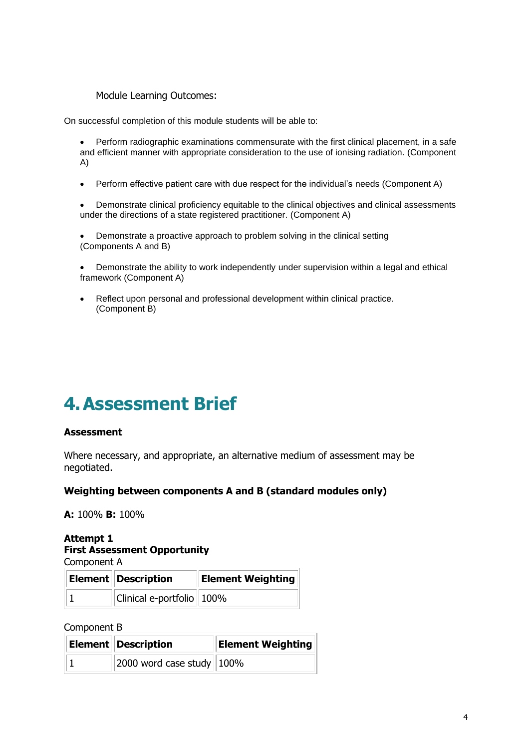Module Learning Outcomes:

On successful completion of this module students will be able to:

• Perform radiographic examinations commensurate with the first clinical placement, in a safe and efficient manner with appropriate consideration to the use of ionising radiation. (Component A)

• Perform effective patient care with due respect for the individual's needs (Component A)

• Demonstrate clinical proficiency equitable to the clinical objectives and clinical assessments under the directions of a state registered practitioner. (Component A)

• Demonstrate a proactive approach to problem solving in the clinical setting (Components A and B)

• Demonstrate the ability to work independently under supervision within a legal and ethical framework (Component A)

• Reflect upon personal and professional development within clinical practice. (Component B)

# **4.Assessment Brief**

### **Assessment**

Where necessary, and appropriate, an alternative medium of assessment may be negotiated.

#### **Weighting between components A and B (standard modules only)**

**A:** 100% **B:** 100%

# **Attempt 1 First Assessment Opportunity**

Component A

| Element   Description     | <b>Element Weighting</b> |
|---------------------------|--------------------------|
| Clinical e-portfolio 100% |                          |

Component B

| Element   Description        | <b>Element Weighting</b> |
|------------------------------|--------------------------|
| 2000 word case study $100\%$ |                          |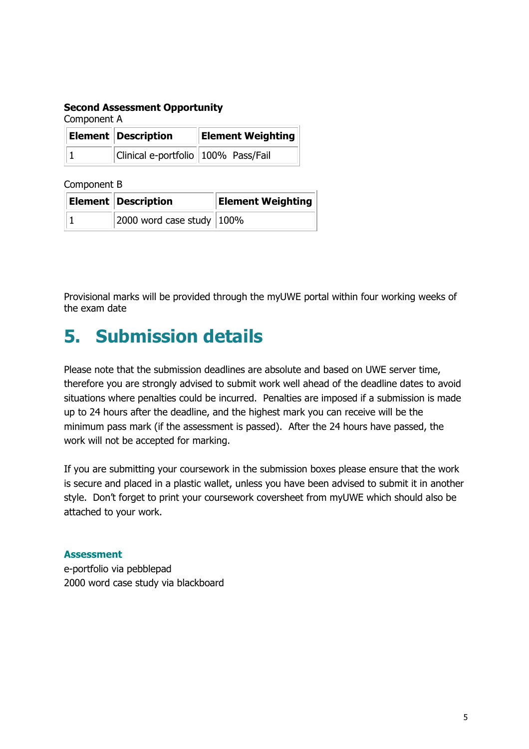### **Second Assessment Opportunity**

Component A

| Element Description                 | <b>Element Weighting</b> |
|-------------------------------------|--------------------------|
| Clinical e-portfolio 100% Pass/Fail |                          |

Component B

| <b>Element Description</b>   | <b>Element Weighting</b> |
|------------------------------|--------------------------|
| 2000 word case study $100\%$ |                          |

Provisional marks will be provided through the myUWE portal within four working weeks of the exam date

# **5. Submission details**

Please note that the submission deadlines are absolute and based on UWE server time, therefore you are strongly advised to submit work well ahead of the deadline dates to avoid situations where penalties could be incurred. Penalties are imposed if a submission is made up to 24 hours after the deadline, and the highest mark you can receive will be the minimum pass mark (if the assessment is passed). After the 24 hours have passed, the work will not be accepted for marking.

If you are submitting your coursework in the submission boxes please ensure that the work is secure and placed in a plastic wallet, unless you have been advised to submit it in another style. Don't forget to print your coursework coversheet from myUWE which should also be attached to your work.

# **Assessment**

e-portfolio via pebblepad 2000 word case study via blackboard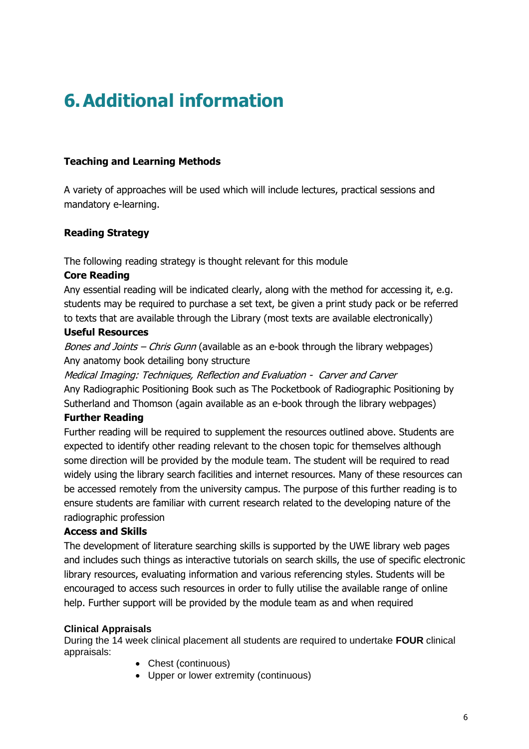# **6.Additional information**

# **Teaching and Learning Methods**

A variety of approaches will be used which will include lectures, practical sessions and mandatory e-learning.

# **Reading Strategy**

The following reading strategy is thought relevant for this module

# **Core Reading**

Any essential reading will be indicated clearly, along with the method for accessing it, e.g. students may be required to purchase a set text, be given a print study pack or be referred to texts that are available through the Library (most texts are available electronically)

# **Useful Resources**

Bones and Joints - Chris Gunn (available as an e-book through the library webpages) Any anatomy book detailing bony structure

Medical Imaging: Techniques, Reflection and Evaluation - Carver and Carver Any Radiographic Positioning Book such as The Pocketbook of Radiographic Positioning by Sutherland and Thomson (again available as an e-book through the library webpages)

# **Further Reading**

Further reading will be required to supplement the resources outlined above. Students are expected to identify other reading relevant to the chosen topic for themselves although some direction will be provided by the module team. The student will be required to read widely using the library search facilities and internet resources. Many of these resources can be accessed remotely from the university campus. The purpose of this further reading is to ensure students are familiar with current research related to the developing nature of the radiographic profession

# **Access and Skills**

The development of literature searching skills is supported by the UWE library web pages and includes such things as interactive tutorials on search skills, the use of specific electronic library resources, evaluating information and various referencing styles. Students will be encouraged to access such resources in order to fully utilise the available range of online help. Further support will be provided by the module team as and when required

# **Clinical Appraisals**

During the 14 week clinical placement all students are required to undertake **FOUR** clinical appraisals:

- Chest (continuous)
- Upper or lower extremity (continuous)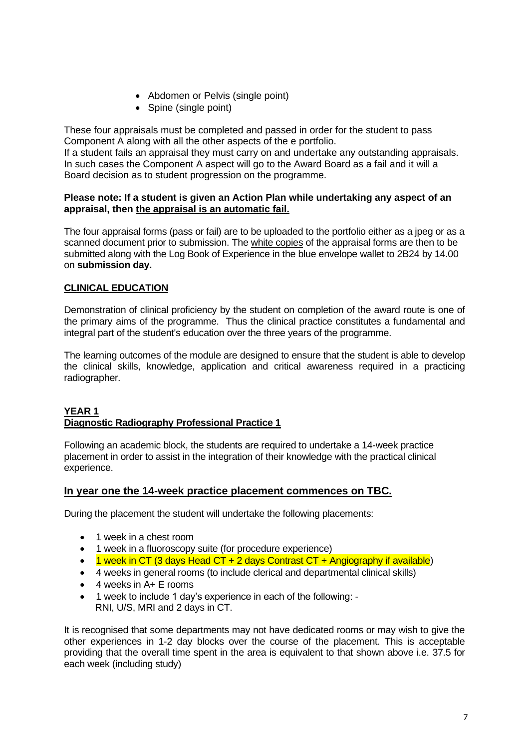- Abdomen or Pelvis (single point)
- Spine (single point)

These four appraisals must be completed and passed in order for the student to pass Component A along with all the other aspects of the e portfolio.

If a student fails an appraisal they must carry on and undertake any outstanding appraisals. In such cases the Component A aspect will go to the Award Board as a fail and it will a Board decision as to student progression on the programme.

### **Please note: If a student is given an Action Plan while undertaking any aspect of an appraisal, then the appraisal is an automatic fail.**

The four appraisal forms (pass or fail) are to be uploaded to the portfolio either as a jpeg or as a scanned document prior to submission. The white copies of the appraisal forms are then to be submitted along with the Log Book of Experience in the blue envelope wallet to 2B24 by 14.00 on **submission day.**

# **CLINICAL EDUCATION**

Demonstration of clinical proficiency by the student on completion of the award route is one of the primary aims of the programme. Thus the clinical practice constitutes a fundamental and integral part of the student's education over the three years of the programme.

The learning outcomes of the module are designed to ensure that the student is able to develop the clinical skills, knowledge, application and critical awareness required in a practicing radiographer.

#### **YEAR 1 Diagnostic Radiography Professional Practice 1**

Following an academic block, the students are required to undertake a 14-week practice placement in order to assist in the integration of their knowledge with the practical clinical experience.

# **In year one the 14-week practice placement commences on TBC.**

During the placement the student will undertake the following placements:

- 1 week in a chest room
- 1 week in a fluoroscopy suite (for procedure experience)
- 1 week in CT (3 days Head CT + 2 days Contrast CT + Angiography if available)
- 4 weeks in general rooms (to include clerical and departmental clinical skills)
- 4 weeks in A+ E rooms
- 1 week to include 1 day's experience in each of the following: RNI, U/S, MRI and 2 days in CT.

It is recognised that some departments may not have dedicated rooms or may wish to give the other experiences in 1-2 day blocks over the course of the placement. This is acceptable providing that the overall time spent in the area is equivalent to that shown above i.e. 37.5 for each week (including study)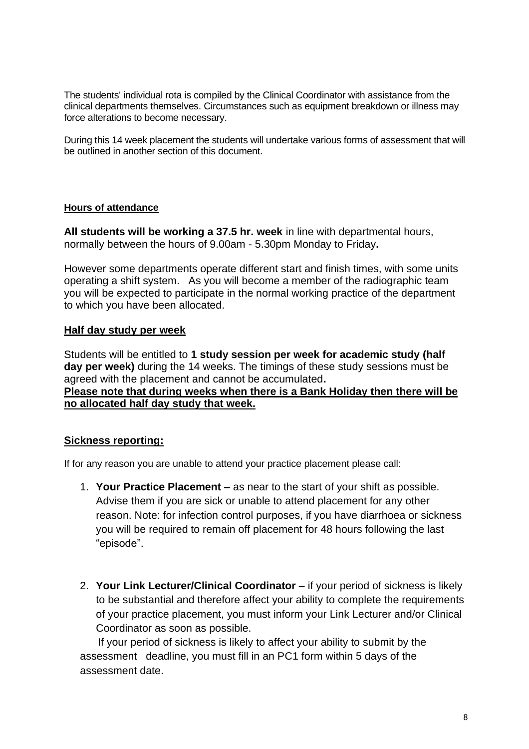The students' individual rota is compiled by the Clinical Coordinator with assistance from the clinical departments themselves. Circumstances such as equipment breakdown or illness may force alterations to become necessary.

During this 14 week placement the students will undertake various forms of assessment that will be outlined in another section of this document.

# **Hours of attendance**

**All students will be working a 37.5 hr. week** in line with departmental hours, normally between the hours of 9.00am - 5.30pm Monday to Friday**.**

However some departments operate different start and finish times, with some units operating a shift system. As you will become a member of the radiographic team you will be expected to participate in the normal working practice of the department to which you have been allocated.

### **Half day study per week**

Students will be entitled to **1 study session per week for academic study (half day per week)** during the 14 weeks. The timings of these study sessions must be agreed with the placement and cannot be accumulated**. Please note that during weeks when there is a Bank Holiday then there will be no allocated half day study that week.** 

# **Sickness reporting:**

If for any reason you are unable to attend your practice placement please call:

- 1. **Your Practice Placement –** as near to the start of your shift as possible. Advise them if you are sick or unable to attend placement for any other reason. Note: for infection control purposes, if you have diarrhoea or sickness you will be required to remain off placement for 48 hours following the last "episode".
- 2. **Your Link Lecturer/Clinical Coordinator –** if your period of sickness is likely to be substantial and therefore affect your ability to complete the requirements of your practice placement, you must inform your Link Lecturer and/or Clinical Coordinator as soon as possible.

 If your period of sickness is likely to affect your ability to submit by the assessment deadline, you must fill in an PC1 form within 5 days of the assessment date.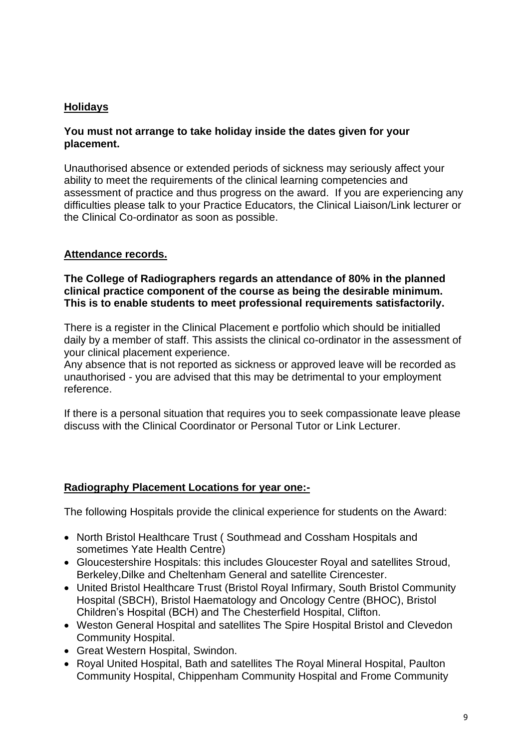# **Holidays**

# **You must not arrange to take holiday inside the dates given for your placement.**

Unauthorised absence or extended periods of sickness may seriously affect your ability to meet the requirements of the clinical learning competencies and assessment of practice and thus progress on the award. If you are experiencing any difficulties please talk to your Practice Educators, the Clinical Liaison/Link lecturer or the Clinical Co-ordinator as soon as possible.

# **Attendance records.**

### **The College of Radiographers regards an attendance of 80% in the planned clinical practice component of the course as being the desirable minimum. This is to enable students to meet professional requirements satisfactorily.**

There is a register in the Clinical Placement e portfolio which should be initialled daily by a member of staff. This assists the clinical co-ordinator in the assessment of your clinical placement experience.

Any absence that is not reported as sickness or approved leave will be recorded as unauthorised - you are advised that this may be detrimental to your employment reference.

If there is a personal situation that requires you to seek compassionate leave please discuss with the Clinical Coordinator or Personal Tutor or Link Lecturer.

# **Radiography Placement Locations for year one:-**

The following Hospitals provide the clinical experience for students on the Award:

- North Bristol Healthcare Trust ( Southmead and Cossham Hospitals and sometimes Yate Health Centre)
- Gloucestershire Hospitals: this includes Gloucester Royal and satellites Stroud, Berkeley,Dilke and Cheltenham General and satellite Cirencester.
- United Bristol Healthcare Trust (Bristol Royal Infirmary, South Bristol Community Hospital (SBCH), Bristol Haematology and Oncology Centre (BHOC), Bristol Children's Hospital (BCH) and The Chesterfield Hospital, Clifton.
- Weston General Hospital and satellites The Spire Hospital Bristol and Clevedon Community Hospital.
- Great Western Hospital, Swindon.
- Royal United Hospital, Bath and satellites The Royal Mineral Hospital, Paulton Community Hospital, Chippenham Community Hospital and Frome Community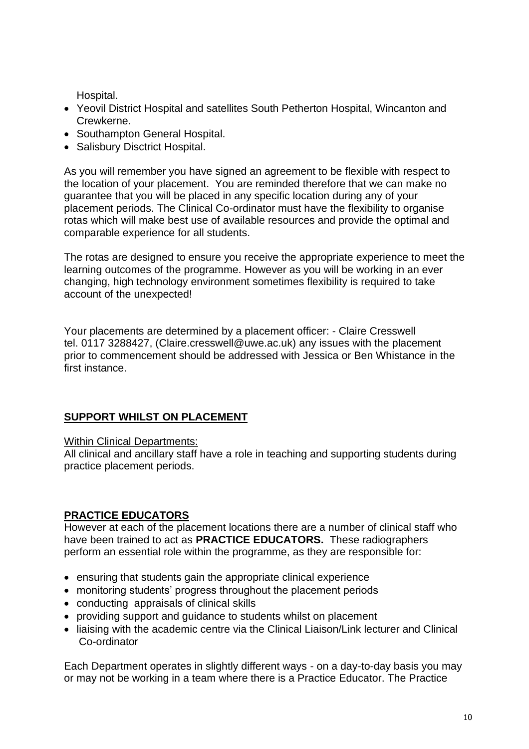Hospital.

- Yeovil District Hospital and satellites South Petherton Hospital, Wincanton and Crewkerne.
- Southampton General Hospital.
- Salisbury Disctrict Hospital.

As you will remember you have signed an agreement to be flexible with respect to the location of your placement. You are reminded therefore that we can make no guarantee that you will be placed in any specific location during any of your placement periods. The Clinical Co-ordinator must have the flexibility to organise rotas which will make best use of available resources and provide the optimal and comparable experience for all students.

The rotas are designed to ensure you receive the appropriate experience to meet the learning outcomes of the programme. However as you will be working in an ever changing, high technology environment sometimes flexibility is required to take account of the unexpected!

Your placements are determined by a placement officer: - Claire Cresswell tel. 0117 3288427, (Claire.cresswell@uwe.ac.uk) any issues with the placement prior to commencement should be addressed with Jessica or Ben Whistance in the first instance.

# **SUPPORT WHILST ON PLACEMENT**

Within Clinical Departments:

All clinical and ancillary staff have a role in teaching and supporting students during practice placement periods.

# **PRACTICE EDUCATORS**

However at each of the placement locations there are a number of clinical staff who have been trained to act as **PRACTICE EDUCATORS.** These radiographers perform an essential role within the programme, as they are responsible for:

- ensuring that students gain the appropriate clinical experience
- monitoring students' progress throughout the placement periods
- conducting appraisals of clinical skills
- providing support and guidance to students whilst on placement
- liaising with the academic centre via the Clinical Liaison/Link lecturer and Clinical Co-ordinator

Each Department operates in slightly different ways - on a day-to-day basis you may or may not be working in a team where there is a Practice Educator. The Practice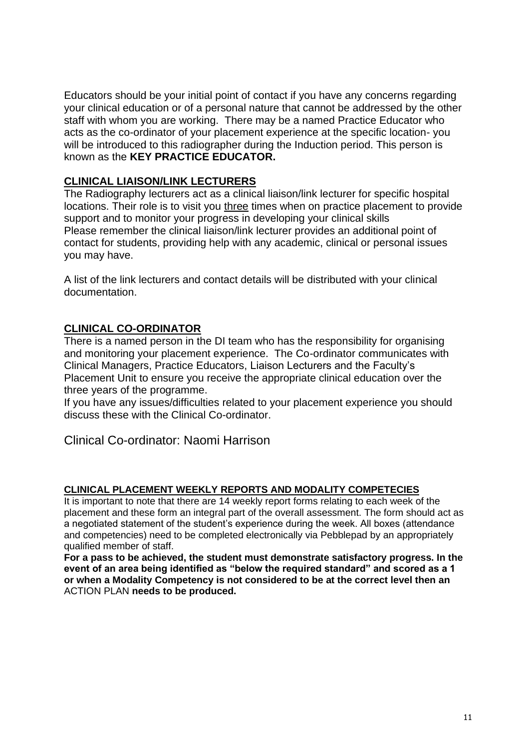Educators should be your initial point of contact if you have any concerns regarding your clinical education or of a personal nature that cannot be addressed by the other staff with whom you are working. There may be a named Practice Educator who acts as the co-ordinator of your placement experience at the specific location- you will be introduced to this radiographer during the Induction period. This person is known as the **KEY PRACTICE EDUCATOR.**

# **CLINICAL LIAISON/LINK LECTURERS**

The Radiography lecturers act as a clinical liaison/link lecturer for specific hospital locations. Their role is to visit you three times when on practice placement to provide support and to monitor your progress in developing your clinical skills Please remember the clinical liaison/link lecturer provides an additional point of contact for students, providing help with any academic, clinical or personal issues you may have.

A list of the link lecturers and contact details will be distributed with your clinical documentation.

# **CLINICAL CO-ORDINATOR**

There is a named person in the DI team who has the responsibility for organising and monitoring your placement experience. The Co-ordinator communicates with Clinical Managers, Practice Educators, Liaison Lecturers and the Faculty's Placement Unit to ensure you receive the appropriate clinical education over the three years of the programme.

If you have any issues/difficulties related to your placement experience you should discuss these with the Clinical Co-ordinator.

Clinical Co-ordinator: Naomi Harrison

### **CLINICAL PLACEMENT WEEKLY REPORTS AND MODALITY COMPETECIES**

It is important to note that there are 14 weekly report forms relating to each week of the placement and these form an integral part of the overall assessment. The form should act as a negotiated statement of the student's experience during the week. All boxes (attendance and competencies) need to be completed electronically via Pebblepad by an appropriately qualified member of staff.

**For a pass to be achieved, the student must demonstrate satisfactory progress. In the event of an area being identified as "below the required standard" and scored as a 1 or when a Modality Competency is not considered to be at the correct level then an**  ACTION PLAN **needs to be produced.**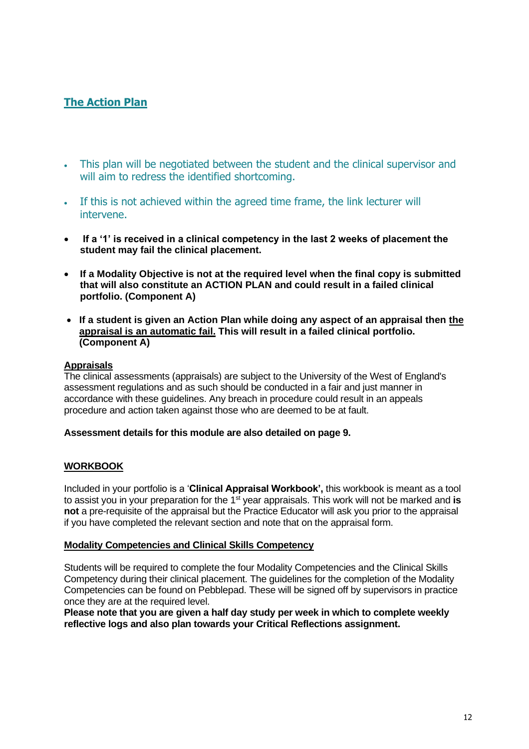# **The Action Plan**

- This plan will be negotiated between the student and the clinical supervisor and will aim to redress the identified shortcoming.
- If this is not achieved within the agreed time frame, the link lecturer will intervene.
- **If a '1' is received in a clinical competency in the last 2 weeks of placement the student may fail the clinical placement.**
- **If a Modality Objective is not at the required level when the final copy is submitted that will also constitute an ACTION PLAN and could result in a failed clinical portfolio. (Component A)**
- **If a student is given an Action Plan while doing any aspect of an appraisal then the appraisal is an automatic fail. This will result in a failed clinical portfolio. (Component A)**

### **Appraisals**

The clinical assessments (appraisals) are subject to the University of the West of England's assessment regulations and as such should be conducted in a fair and just manner in accordance with these guidelines. Any breach in procedure could result in an appeals procedure and action taken against those who are deemed to be at fault.

#### **Assessment details for this module are also detailed on page 9.**

### **WORKBOOK**

Included in your portfolio is a '**Clinical Appraisal Workbook',** this workbook is meant as a tool to assist you in your preparation for the 1<sup>st</sup> year appraisals. This work will not be marked and is **not** a pre-requisite of the appraisal but the Practice Educator will ask you prior to the appraisal if you have completed the relevant section and note that on the appraisal form.

#### **Modality Competencies and Clinical Skills Competency**

Students will be required to complete the four Modality Competencies and the Clinical Skills Competency during their clinical placement. The guidelines for the completion of the Modality Competencies can be found on Pebblepad. These will be signed off by supervisors in practice once they are at the required level.

**Please note that you are given a half day study per week in which to complete weekly reflective logs and also plan towards your Critical Reflections assignment.**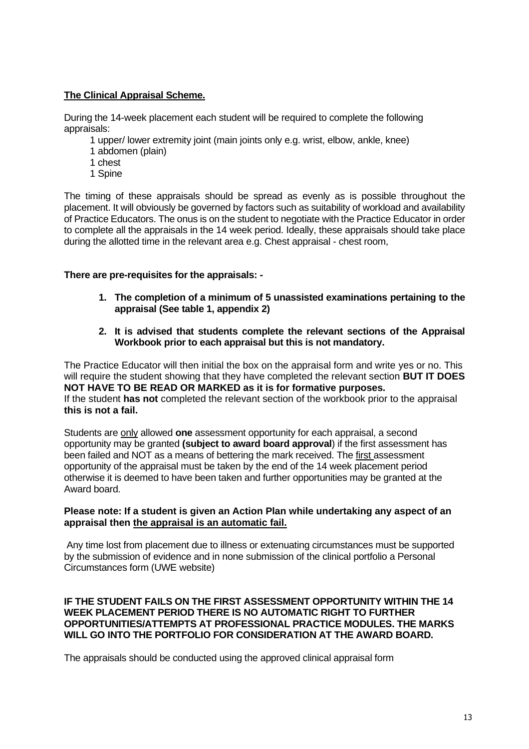### **The Clinical Appraisal Scheme.**

During the 14-week placement each student will be required to complete the following appraisals:

- 1 upper/ lower extremity joint (main joints only e.g. wrist, elbow, ankle, knee)
- 1 abdomen (plain)
- 1 chest
- 1 Spine

The timing of these appraisals should be spread as evenly as is possible throughout the placement. It will obviously be governed by factors such as suitability of workload and availability of Practice Educators. The onus is on the student to negotiate with the Practice Educator in order to complete all the appraisals in the 14 week period. Ideally, these appraisals should take place during the allotted time in the relevant area e.g. Chest appraisal - chest room,

### **There are pre-requisites for the appraisals: -**

- **1. The completion of a minimum of 5 unassisted examinations pertaining to the appraisal (See table 1, appendix 2)**
- **2. It is advised that students complete the relevant sections of the Appraisal Workbook prior to each appraisal but this is not mandatory.**

The Practice Educator will then initial the box on the appraisal form and write yes or no. This will require the student showing that they have completed the relevant section **BUT IT DOES NOT HAVE TO BE READ OR MARKED as it is for formative purposes.** If the student **has not** completed the relevant section of the workbook prior to the appraisal **this is not a fail.** 

Students are only allowed **one** assessment opportunity for each appraisal, a second opportunity may be granted **(subject to award board approval**) if the first assessment has been failed and NOT as a means of bettering the mark received. The first assessment opportunity of the appraisal must be taken by the end of the 14 week placement period otherwise it is deemed to have been taken and further opportunities may be granted at the Award board.

### **Please note: If a student is given an Action Plan while undertaking any aspect of an appraisal then the appraisal is an automatic fail.**

Any time lost from placement due to illness or extenuating circumstances must be supported by the submission of evidence and in none submission of the clinical portfolio a Personal Circumstances form (UWE website)

#### **IF THE STUDENT FAILS ON THE FIRST ASSESSMENT OPPORTUNITY WITHIN THE 14 WEEK PLACEMENT PERIOD THERE IS NO AUTOMATIC RIGHT TO FURTHER OPPORTUNITIES/ATTEMPTS AT PROFESSIONAL PRACTICE MODULES. THE MARKS WILL GO INTO THE PORTFOLIO FOR CONSIDERATION AT THE AWARD BOARD.**

The appraisals should be conducted using the approved clinical appraisal form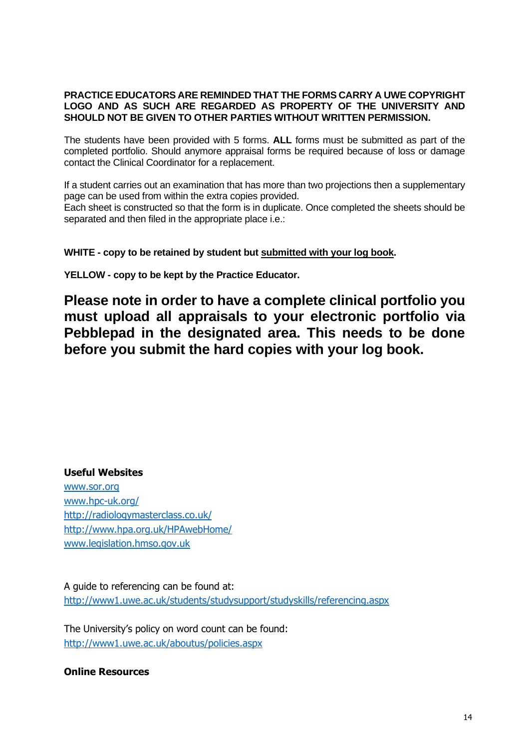#### **PRACTICE EDUCATORS ARE REMINDED THAT THE FORMS CARRY A UWE COPYRIGHT LOGO AND AS SUCH ARE REGARDED AS PROPERTY OF THE UNIVERSITY AND SHOULD NOT BE GIVEN TO OTHER PARTIES WITHOUT WRITTEN PERMISSION.**

The students have been provided with 5 forms. **ALL** forms must be submitted as part of the completed portfolio. Should anymore appraisal forms be required because of loss or damage contact the Clinical Coordinator for a replacement.

If a student carries out an examination that has more than two projections then a supplementary page can be used from within the extra copies provided.

Each sheet is constructed so that the form is in duplicate. Once completed the sheets should be separated and then filed in the appropriate place i.e.:

# **WHITE - copy to be retained by student but submitted with your log book.**

**YELLOW - copy to be kept by the Practice Educator.**

**Please note in order to have a complete clinical portfolio you must upload all appraisals to your electronic portfolio via Pebblepad in the designated area. This needs to be done before you submit the hard copies with your log book.**

### **Useful Websites**

[www.sor.org](http://www.sor.org/) [www.hpc-uk.org/](http://www.hpc-uk.org/) <http://radiologymasterclass.co.uk/> <http://www.hpa.org.uk/HPAwebHome/> [www.legislation.hmso.gov.uk](http://www.legislation.hmso.gov.uk/)

A guide to referencing can be found at: <http://www1.uwe.ac.uk/students/studysupport/studyskills/referencing.aspx>

The University's policy on word count can be found: <http://www1.uwe.ac.uk/aboutus/policies.aspx>

**Online Resources**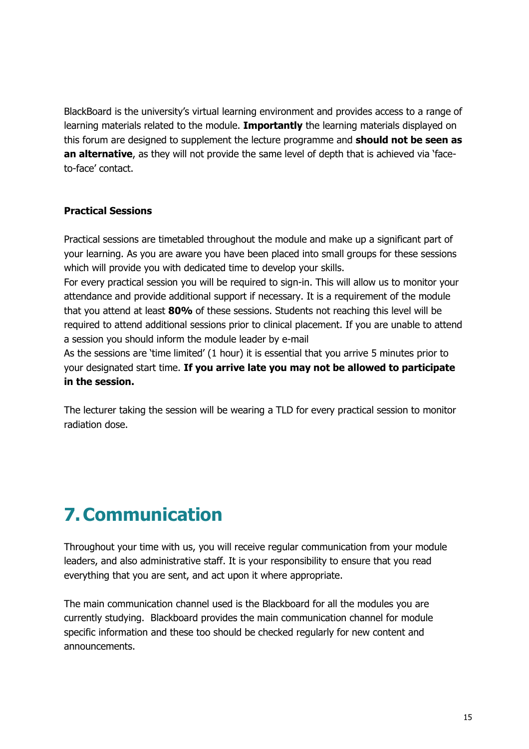BlackBoard is the university's virtual learning environment and provides access to a range of learning materials related to the module. **Importantly** the learning materials displayed on this forum are designed to supplement the lecture programme and **should not be seen as an alternative**, as they will not provide the same level of depth that is achieved via 'faceto-face' contact.

# **Practical Sessions**

Practical sessions are timetabled throughout the module and make up a significant part of your learning. As you are aware you have been placed into small groups for these sessions which will provide you with dedicated time to develop your skills.

For every practical session you will be required to sign-in. This will allow us to monitor your attendance and provide additional support if necessary. It is a requirement of the module that you attend at least **80%** of these sessions. Students not reaching this level will be required to attend additional sessions prior to clinical placement. If you are unable to attend a session you should inform the module leader by e-mail

As the sessions are 'time limited' (1 hour) it is essential that you arrive 5 minutes prior to your designated start time. **If you arrive late you may not be allowed to participate in the session.**

The lecturer taking the session will be wearing a TLD for every practical session to monitor radiation dose.

# **7.Communication**

Throughout your time with us, you will receive regular communication from your module leaders, and also administrative staff. It is your responsibility to ensure that you read everything that you are sent, and act upon it where appropriate.

The main communication channel used is the Blackboard for all the modules you are currently studying. Blackboard provides the main communication channel for module specific information and these too should be checked regularly for new content and announcements.